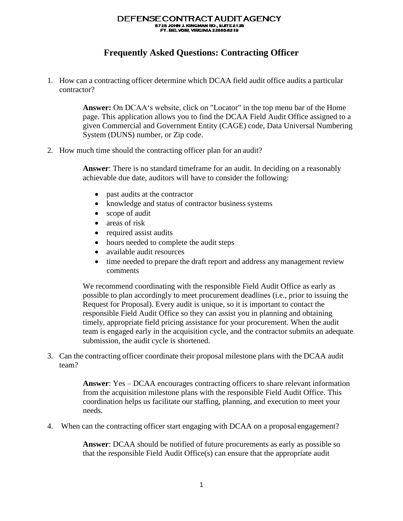## DEFENSE CONTRACT AUDIT AGENCY 8725 JOHN J. KINGMAN RD., SUITE 2135<br>FT. BELVOIR, VIRGINIA 22060-6219

## **Frequently Asked Questions: Contracting Officer**

1. How can a contracting officer determine which DCAA field audit office audits a particular contractor?

> **Answer:** On DCAA's website, click on "Locator" in the top menu bar of the Home page. This application allows you to find the DCAA Field Audit Office assigned to a given Commercial and Government Entity (CAGE) code, Data Universal Numbering System (DUNS) number, or Zip code.

2. How much time should the contracting officer plan for an audit?

**Answer**: There is no standard timeframe for an audit. In deciding on a reasonably achievable due date, auditors will have to consider the following:

- past audits at the contractor
- knowledge and status of contractor business systems
- scope of audit
- areas of risk
- required assist audits
- hours needed to complete the audit steps
- available audit resources
- time needed to prepare the draft report and address any management review comments

We recommend coordinating with the responsible Field Audit Office as early as possible to plan accordingly to meet procurement deadlines (i.e., prior to issuing the Request for Proposal). Every audit is unique, so it is important to contact the responsible Field Audit Office so they can assist you in planning and obtaining timely, appropriate field pricing assistance for your procurement. When the audit team is engaged early in the acquisition cycle, and the contractor submits an adequate submission, the audit cycle is shortened.

3. Can the contracting officer coordinate their proposal milestone plans with the DCAA audit team?

> **Answer**: Yes – DCAA encourages contracting officers to share relevant information from the acquisition milestone plans with the responsible Field Audit Office. This coordination helps us facilitate our staffing, planning, and execution to meet your needs.

4. When can the contracting officer start engaging with DCAA on a proposal engagement?

**Answer**: DCAA should be notified of future procurements as early as possible so that the responsible Field Audit Office(s) can ensure that the appropriate audit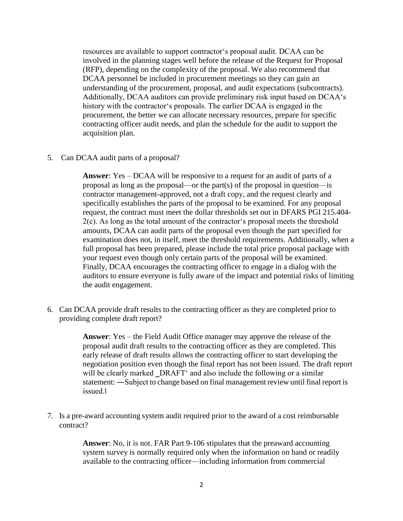resources are available to support contractor's proposal audit. DCAA can be involved in the planning stages well before the release of the Request for Proposal (RFP), depending on the complexity of the proposal. We also recommend that DCAA personnel be included in procurement meetings so they can gain an understanding of the procurement, proposal, and audit expectations (subcontracts). Additionally, DCAA auditors can provide preliminary risk input based on DCAA's history with the contractor's proposals. The earlier DCAA is engaged in the procurement, the better we can allocate necessary resources, prepare for specific contracting officer audit needs, and plan the schedule for the audit to support the acquisition plan.

5. Can DCAA audit parts of a proposal?

**Answer**: Yes – DCAA will be responsive to a request for an audit of parts of a proposal as long as the proposal—or the part(s) of the proposal in question—is contractor management-approved, not a draft copy, and the request clearly and specifically establishes the parts of the proposal to be examined. For any proposal request, the contract must meet the dollar thresholds set out in DFARS PGI 215.404- 2(c). As long as the total amount of the contractor's proposal meets the threshold amounts, DCAA can audit parts of the proposal even though the part specified for examination does not, in itself, meet the threshold requirements. Additionally, when a full proposal has been prepared, please include the total price proposal package with your request even though only certain parts of the proposal will be examined. Finally, DCAA encourages the contracting officer to engage in a dialog with the auditors to ensure everyone is fully aware of the impact and potential risks of limiting the audit engagement.

6. Can DCAA provide draft results to the contracting officer as they are completed prior to providing complete draft report?

> **Answer**: Yes – the Field Audit Office manager may approve the release of the proposal audit draft results to the contracting officer as they are completed. This early release of draft results allows the contracting officer to start developing the negotiation position even though the final report has not been issued. The draft report will be clearly marked DRAFT' and also include the following or a similar statement: ―Subject to change based on final management review until final report is issued.‖

7. Is a pre-award accounting system audit required prior to the award of a cost reimbursable contract?

> **Answer**: No, it is not. FAR Part 9-106 stipulates that the preaward accounting system survey is normally required only when the information on hand or readily available to the contracting officer—including information from commercial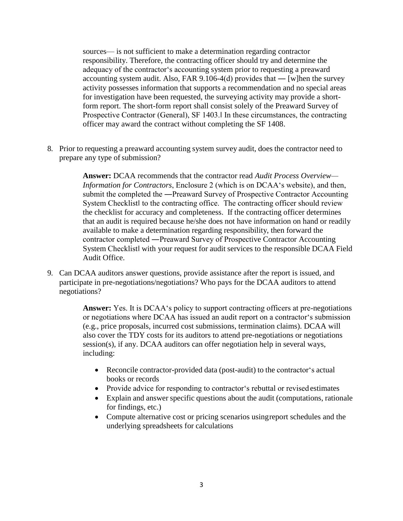sources— is not sufficient to make a determination regarding contractor responsibility. Therefore, the contracting officer should try and determine the adequacy of the contractor's accounting system prior to requesting a preaward accounting system audit. Also, FAR 9.106-4(d) provides that — [w]hen the survey activity possesses information that supports a recommendation and no special areas for investigation have been requested, the surveying activity may provide a shortform report. The short-form report shall consist solely of the Preaward Survey of Prospective Contractor (General), SF 1403.‖ In these circumstances, the contracting officer may award the contract without completing the SF 1408.

8. Prior to requesting a preaward accounting system survey audit, does the contractor need to prepare any type of submission?

> **Answer:** DCAA recommends that the contractor read *Audit Process Overview— Information for Contractors*, Enclosure 2 (which is on DCAA's website), and then, submit the completed the ―Preaward Survey of Prospective Contractor Accounting System Checklist‖ to the contracting office. The contracting officer should review the checklist for accuracy and completeness. If the contracting officer determines that an audit is required because he/she does not have information on hand or readily available to make a determination regarding responsibility, then forward the contractor completed ―Preaward Survey of Prospective Contractor Accounting System Checklist‖ with your request for audit services to the responsible DCAA Field Audit Office.

9. Can DCAA auditors answer questions, provide assistance after the report is issued, and participate in pre-negotiations/negotiations? Who pays for the DCAA auditors to attend negotiations?

> **Answer:** Yes. It is DCAA's policy to support contracting officers at pre-negotiations or negotiations where DCAA has issued an audit report on a contractor's submission (e.g., price proposals, incurred cost submissions, termination claims). DCAA will also cover the TDY costs for its auditors to attend pre-negotiations or negotiations session(s), if any. DCAA auditors can offer negotiation help in several ways, including:

- Reconcile contractor-provided data (post-audit) to the contractor's actual books or records
- Provide advice for responding to contractor's rebuttal or revised estimates
- Explain and answer specific questions about the audit (computations, rationale for findings, etc.)
- Compute alternative cost or pricing scenarios usingreport schedules and the underlying spreadsheets for calculations